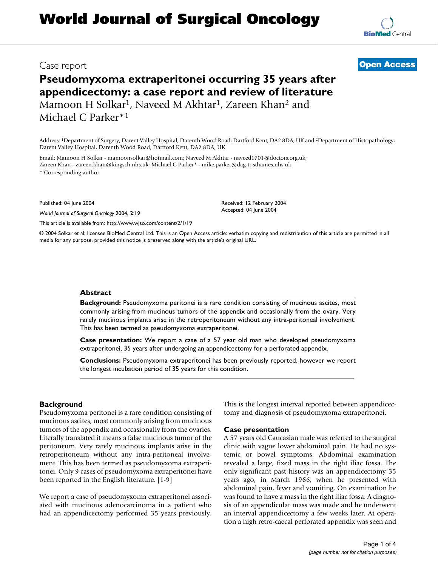# **World Journal of Surgical Oncology**

## **Pseudomyxoma extraperitonei occurring 35 years after appendicectomy: a case report and review of literature** Mamoon H Solkar<sup>1</sup>, Naveed M Akhtar<sup>1</sup>, Zareen Khan<sup>2</sup> and Michael C Parker\*1

Address: 1Department of Surgery, Darent Valley Hospital, Darenth Wood Road, Dartford Kent, DA2 8DA, UK and 2Department of Histopathology, Darent Valley Hospital, Darenth Wood Road, Dartford Kent, DA2 8DA, UK

Email: Mamoon H Solkar - mamoonsolkar@hotmail.com; Naveed M Akhtar - naveed1701@doctors.org.uk; Zareen Khan - zareen.khan@kingsch.nhs.uk; Michael C Parker\* - mike.parker@dag-tr.sthames.nhs.uk

\* Corresponding author

Published: 04 June 2004

*World Journal of Surgical Oncology* 2004, **2**:19

[This article is available from: http://www.wjso.com/content/2/1/19](http://www.wjso.com/content/2/1/19)

© 2004 Solkar et al; licensee BioMed Central Ltd. This is an Open Access article: verbatim copying and redistribution of this article are permitted in all media for any purpose, provided this notice is preserved along with the article's original URL.

Received: 12 February 2004 Accepted: 04 June 2004

#### **Abstract**

**Background:** Pseudomyxoma peritonei is a rare condition consisting of mucinous ascites, most commonly arising from mucinous tumors of the appendix and occasionally from the ovary. Very rarely mucinous implants arise in the retroperitoneum without any intra-peritoneal involvement. This has been termed as pseudomyxoma extraperitonei.

**Case presentation:** We report a case of a 57 year old man who developed pseudomyxoma extraperitonei, 35 years after undergoing an appendicectomy for a perforated appendix.

**Conclusions:** Pseudomyxoma extraperitonei has been previously reported, however we report the longest incubation period of 35 years for this condition.

#### **Background**

Pseudomyxoma peritonei is a rare condition consisting of mucinous ascites, most commonly arising from mucinous tumors of the appendix and occasionally from the ovaries. Literally translated it means a false mucinous tumor of the peritoneum. Very rarely mucinous implants arise in the retroperitoneum without any intra-peritoneal involvement. This has been termed as pseudomyxoma extraperitonei. Only 9 cases of pseudomyxoma extraperitonei have been reported in the English literature. [1-9]

We report a case of pseudomyxoma extraperitonei associated with mucinous adenocarcinoma in a patient who had an appendicectomy performed 35 years previously. This is the longest interval reported between appendicectomy and diagnosis of pseudomyxoma extraperitonei.

#### **Case presentation**

A 57 years old Caucasian male was referred to the surgical clinic with vague lower abdominal pain. He had no systemic or bowel symptoms. Abdominal examination revealed a large, fixed mass in the right iliac fossa. The only significant past history was an appendicectomy 35 years ago, in March 1966, when he presented with abdominal pain, fever and vomiting. On examination he was found to have a mass in the right iliac fossa. A diagnosis of an appendicular mass was made and he underwent an interval appendicectomy a few weeks later. At operation a high retro-caecal perforated appendix was seen and



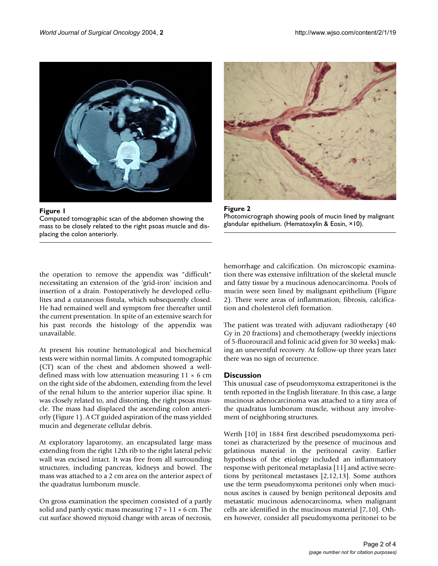

Figure 1 Computed tomographic scan of the abdomen showing the mass to be closely related to the right psoas muscle and displacing the colon anteriorly.



**Figure 2** Photomicrograph showing pools of mucin lined by malignant glandular epithelium. (Hematoxylin & Eosin, ×10).

the operation to remove the appendix was "difficult" necessitating an extension of the 'grid-iron' incision and insertion of a drain. Postoperatively he developed cellulites and a cutaneous fistula, which subsequently closed. He had remained well and symptom free thereafter until the current presentation. In spite of an extensive search for his past records the histology of the appendix was unavailable.

At present his routine hematological and biochemical tests were within normal limits. A computed tomographic (CT) scan of the chest and abdomen showed a welldefined mass with low attenuation measuring  $11 \times 6$  cm on the right side of the abdomen, extending from the level of the renal hilum to the anterior superior iliac spine. It was closely related to, and distorting, the right psoas muscle. The mass had displaced the ascending colon anteriorly (Figure 1). A CT guided aspiration of the mass yielded mucin and degenerate cellular debris.

At exploratory laparotomy, an encapsulated large mass extending from the right 12th rib to the right lateral pelvic wall was excised intact. It was free from all surrounding structures, including pancreas, kidneys and bowel. The mass was attached to a 2 cm area on the anterior aspect of the quadratus lumborum muscle.

On gross examination the specimen consisted of a partly solid and partly cystic mass measuring  $17 \times 11 \times 6$  cm. The cut surface showed myxoid change with areas of necrosis, hemorrhage and calcification. On microscopic examination there was extensive infiltration of the skeletal muscle and fatty tissue by a mucinous adenocarcinoma. Pools of mucin were seen lined by malignant epithelium (Figure 2). There were areas of inflammation; fibrosis, calcification and cholesterol cleft formation.

The patient was treated with adjuvant radiotherapy (40 Gy in 20 fractions) and chemotherapy (weekly injections of 5-fluorouracil and folinic acid given for 30 weeks) making an uneventful recovery. At follow-up three years later there was no sign of recurrence.

### **Discussion**

This unusual case of pseudomyxoma extraperitonei is the tenth reported in the English literature. In this case, a large mucinous adenocarcinoma was attached to a tiny area of the quadratus lumborum muscle, without any involvement of neighboring structures.

Werth [10] in 1884 first described pseudomyxoma peritonei as characterized by the presence of mucinous and gelatinous material in the peritoneal cavity. Earlier hypothesis of the etiology included an inflammatory response with peritoneal metaplasia [11] and active secretions by peritoneal metastases [2,12,13]. Some authors use the term pseudomyxoma peritonei only when mucinous ascites is caused by benign peritoneal deposits and metastatic mucinous adenocarcinoma, when malignant cells are identified in the mucinous material [7,10]. Others however, consider all pseudomyxoma peritonei to be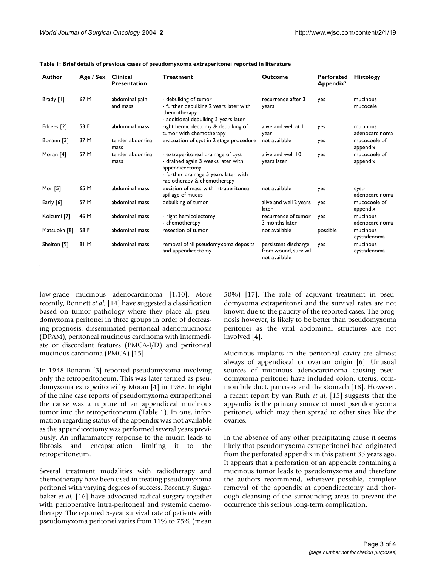| Author       | Age / Sex | <b>Clinical</b><br><b>Presentation</b> | <b>Treatment</b>                                                                                                                                                   | <b>Outcome</b>                                                | <b>Perforated</b><br><b>Appendix?</b> | <b>Histology</b>           |
|--------------|-----------|----------------------------------------|--------------------------------------------------------------------------------------------------------------------------------------------------------------------|---------------------------------------------------------------|---------------------------------------|----------------------------|
| Brady [1]    | 67 M      | abdominal pain<br>and mass             | - debulking of tumor<br>- further debulking 2 years later with<br>chemotherapy<br>- additional debulking 3 years later                                             | recurrence after 3<br>years                                   | yes                                   | mucinous<br>mucocele       |
| Edrees [2]   | 53 F      | abdominal mass                         | right hemicolectomy & debulking of<br>tumor with chemotherapy                                                                                                      | alive and well at I<br>year                                   | yes                                   | mucinous<br>adenocarcinoma |
| Bonann [3]   | 37 M      | tender abdominal<br>mass               | evacuation of cyst in 2 stage procedure                                                                                                                            | not available                                                 | yes                                   | mucocoele of<br>appendix   |
| Moran [4]    | 57 M      | tender abdominal<br>mass               | - extraperitoneal drainage of cyst<br>- drained again 3 weeks later with<br>appendicectomy<br>- further drainage 5 years later with<br>radiotherapy & chemotherapy | alive and well 10<br>years later                              | yes                                   | mucocoele of<br>appendix   |
| Mor [5]      | 65 M      | abdominal mass                         | excision of mass with intraperitoneal<br>spillage of mucus                                                                                                         | not available                                                 | yes                                   | cyst-<br>adenocarcinoma    |
| Early [6]    | 57 M      | abdominal mass                         | debulking of tumor                                                                                                                                                 | alive and well 2 years<br>later                               | yes                                   | mucocoele of<br>appendix   |
| Koizumi [7]  | 46 M      | abdominal mass                         | - right hemicolectomy<br>- chemotherapy                                                                                                                            | recurrence of tumor<br>3 months later                         | yes                                   | mucinous<br>adenocarcinoma |
| Matsuoka [8] | 58 F      | abdominal mass                         | resection of tumor                                                                                                                                                 | not available                                                 | possible                              | mucinous<br>cystadenoma    |
| Shelton [9]  | 81 M      | abdominal mass                         | removal of all pseudomyxoma deposits<br>and appendicectomy                                                                                                         | persistent discharge<br>from wound, survival<br>not available | yes                                   | mucinous<br>cystadenoma    |

<span id="page-2-0"></span>**Table 1: Brief details of previous cases of pseudomyxoma extraperitonei reported in literature**

low-grade mucinous adenocarcinoma [1,10]. More recently, Ronnett *et al*, [14] have suggested a classification based on tumor pathology where they place all pseudomyxoma peritonei in three groups in order of decreasing prognosis: disseminated peritoneal adenomucinosis (DPAM), peritoneal mucinous carcinoma with intermediate or discordant features (PMCA-I/D) and peritoneal mucinous carcinoma (PMCA) [15].

In 1948 Bonann [3] reported pseudomyxoma involving only the retroperitoneum. This was later termed as pseudomyxoma extraperitonei by Moran [4] in 1988. In eight of the nine case reports of pseudomyxoma extraperitonei the cause was a rupture of an appendiceal mucinous tumor into the retroperitoneum (Table [1](#page-2-0)). In one, information regarding status of the appendix was not available as the appendicectomy was performed several years previously. An inflammatory response to the mucin leads to fibrosis and encapsulation limiting it to the retroperitoneum.

Several treatment modalities with radiotherapy and chemotherapy have been used in treating pseudomyxoma peritonei with varying degrees of success. Recently, Sugarbaker *et al*, [16] have advocated radical surgery together with perioperative intra-peritoneal and systemic chemotherapy. The reported 5-year survival rate of patients with pseudomyxoma peritonei varies from 11% to 75% (mean 50%) [17]. The role of adjuvant treatment in pseudomyxoma extraperitonei and the survival rates are not known due to the paucity of the reported cases. The prognosis however, is likely to be better than pseudomyxoma peritonei as the vital abdominal structures are not involved [4].

Mucinous implants in the peritoneal cavity are almost always of appendiceal or ovarian origin [6]. Unusual sources of mucinous adenocarcinoma causing pseudomyxoma peritonei have included colon, uterus, common bile duct, pancreas and the stomach [18]. However, a recent report by van Ruth *et al*, [15] suggests that the appendix is the primary source of most pseudomyxoma peritonei, which may then spread to other sites like the ovaries.

In the absence of any other precipitating cause it seems likely that pseudomyxoma extraperitonei had originated from the perforated appendix in this patient 35 years ago. It appears that a perforation of an appendix containing a mucinous tumor leads to pseudomyxoma and therefore the authors recommend, wherever possible, complete removal of the appendix at appendicectomy and thorough cleansing of the surrounding areas to prevent the occurrence this serious long-term complication.